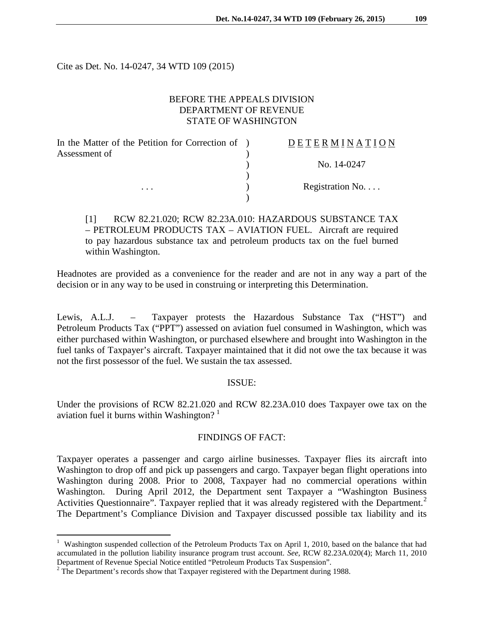Cite as Det. No. 14-0247, 34 WTD 109 (2015)

# BEFORE THE APPEALS DIVISION DEPARTMENT OF REVENUE STATE OF WASHINGTON

| In the Matter of the Petition for Correction of ) | DETERMINATION   |
|---------------------------------------------------|-----------------|
| Assessment of                                     |                 |
|                                                   | No. 14-0247     |
|                                                   |                 |
| $\cdots$                                          | Registration No |
|                                                   |                 |

[1] RCW 82.21.020; RCW 82.23A.010: HAZARDOUS SUBSTANCE TAX – PETROLEUM PRODUCTS TAX – AVIATION FUEL. Aircraft are required to pay hazardous substance tax and petroleum products tax on the fuel burned within Washington.

Headnotes are provided as a convenience for the reader and are not in any way a part of the decision or in any way to be used in construing or interpreting this Determination.

Lewis, A.L.J. – Taxpayer protests the Hazardous Substance Tax ("HST") and Petroleum Products Tax ("PPT") assessed on aviation fuel consumed in Washington, which was either purchased within Washington, or purchased elsewhere and brought into Washington in the fuel tanks of Taxpayer's aircraft. Taxpayer maintained that it did not owe the tax because it was not the first possessor of the fuel. We sustain the tax assessed.

## ISSUE:

Under the provisions of RCW 82.21.020 and RCW 82.23A.010 does Taxpayer owe tax on the aviation fuel it burns within Washington?  $1$ 

## FINDINGS OF FACT:

Taxpayer operates a passenger and cargo airline businesses. Taxpayer flies its aircraft into Washington to drop off and pick up passengers and cargo. Taxpayer began flight operations into Washington during 2008. Prior to 2008, Taxpayer had no commercial operations within Washington. During April 2012, the Department sent Taxpayer a "Washington Business Activities Questionnaire". Taxpayer replied that it was already registered with the Department.<sup>[2](#page-0-1)</sup> The Department's Compliance Division and Taxpayer discussed possible tax liability and its

 $\overline{a}$ 

<span id="page-0-0"></span><sup>&</sup>lt;sup>1</sup> Washington suspended collection of the Petroleum Products Tax on April 1, 2010, based on the balance that had accumulated in the pollution liability insurance program trust account. *See*, RCW 82.23A.020(4); March 11, 2010 Department of Revenue Special Notice entitled "Petroleum Products Tax Suspension".

<span id="page-0-1"></span> $2$  The Department's records show that Taxpayer registered with the Department during 1988.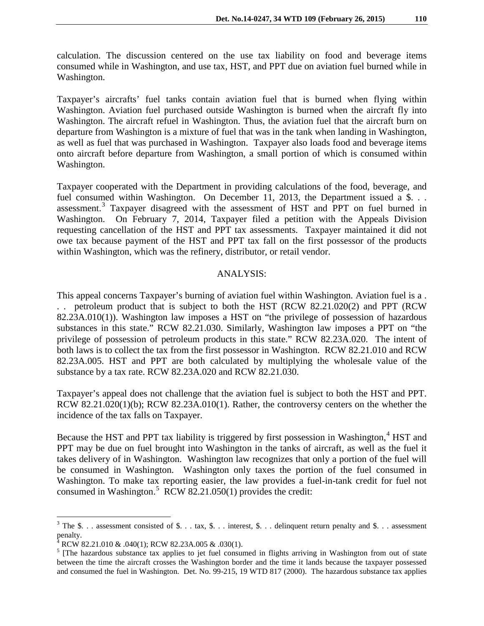calculation. The discussion centered on the use tax liability on food and beverage items consumed while in Washington, and use tax, HST, and PPT due on aviation fuel burned while in Washington.

Taxpayer's aircrafts' fuel tanks contain aviation fuel that is burned when flying within Washington. Aviation fuel purchased outside Washington is burned when the aircraft fly into Washington. The aircraft refuel in Washington. Thus, the aviation fuel that the aircraft burn on departure from Washington is a mixture of fuel that was in the tank when landing in Washington, as well as fuel that was purchased in Washington. Taxpayer also loads food and beverage items onto aircraft before departure from Washington, a small portion of which is consumed within Washington.

Taxpayer cooperated with the Department in providing calculations of the food, beverage, and fuel consumed within Washington. On December 11, 2013, the Department issued a \$... assessment.[3](#page-1-0) Taxpayer disagreed with the assessment of HST and PPT on fuel burned in Washington. On February 7, 2014, Taxpayer filed a petition with the Appeals Division requesting cancellation of the HST and PPT tax assessments. Taxpayer maintained it did not owe tax because payment of the HST and PPT tax fall on the first possessor of the products within Washington, which was the refinery, distributor, or retail vendor.

### ANALYSIS:

This appeal concerns Taxpayer's burning of aviation fuel within Washington. Aviation fuel is a . . . petroleum product that is subject to both the HST (RCW 82.21.020(2) and PPT (RCW 82.23A.010(1)). Washington law imposes a HST on "the privilege of possession of hazardous substances in this state." RCW 82.21.030. Similarly, Washington law imposes a PPT on "the privilege of possession of petroleum products in this state." RCW 82.23A.020. The intent of both laws is to collect the tax from the first possessor in Washington. RCW 82.21.010 and RCW 82.23A.005. HST and PPT are both calculated by multiplying the wholesale value of the substance by a tax rate. RCW 82.23A.020 and RCW 82.21.030.

Taxpayer's appeal does not challenge that the aviation fuel is subject to both the HST and PPT. RCW 82.21.020(1)(b); RCW 82.23A.010(1). Rather, the controversy centers on the whether the incidence of the tax falls on Taxpayer.

Because the HST and PPT tax liability is triggered by first possession in Washington, $4$  HST and PPT may be due on fuel brought into Washington in the tanks of aircraft, as well as the fuel it takes delivery of in Washington. Washington law recognizes that only a portion of the fuel will be consumed in Washington. Washington only taxes the portion of the fuel consumed in Washington. To make tax reporting easier, the law provides a fuel-in-tank credit for fuel not consumed in Washington.<sup>[5](#page-1-2)</sup> RCW 82.21.050(1) provides the credit:

 $\overline{a}$ 

<span id="page-1-0"></span> $3$  The \$... assessment consisted of \$... tax, \$... interest, \$... delinquent return penalty and \$... assessment penalty.

<span id="page-1-1"></span><sup>&</sup>lt;sup>4</sup> RCW 82.21.010 & .040(1); RCW 82.23A.005 & .030(1).

<span id="page-1-2"></span><sup>&</sup>lt;sup>5</sup> [The hazardous substance tax applies to jet fuel consumed in flights arriving in Washington from out of state between the time the aircraft crosses the Washington border and the time it lands because the taxpayer possessed and consumed the fuel in Washington. Det. No. 99-215, 19 WTD 817 (2000). The hazardous substance tax applies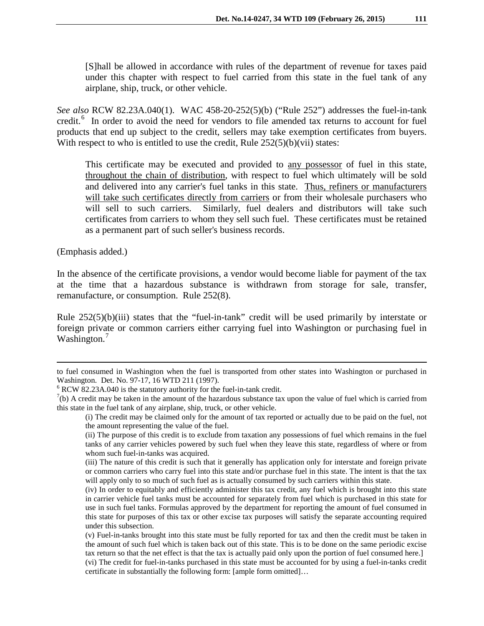[S]hall be allowed in accordance with rules of the department of revenue for taxes paid under this chapter with respect to fuel carried from this state in the fuel tank of any airplane, ship, truck, or other vehicle.

*See also* RCW 82.23A.040(1). WAC 458-20-252(5)(b) ("Rule 252") addresses the fuel-in-tank credit.<sup>[6](#page-2-0)</sup> In order to avoid the need for vendors to file amended tax returns to account for fuel products that end up subject to the credit, sellers may take exemption certificates from buyers. With respect to who is entitled to use the credit, Rule  $252(5)(b)(vii)$  states:

This certificate may be executed and provided to any possessor of fuel in this state, throughout the chain of distribution, with respect to fuel which ultimately will be sold and delivered into any carrier's fuel tanks in this state. Thus, refiners or manufacturers will take such certificates directly from carriers or from their wholesale purchasers who will sell to such carriers. Similarly, fuel dealers and distributors will take such certificates from carriers to whom they sell such fuel. These certificates must be retained as a permanent part of such seller's business records.

(Emphasis added.)

 $\overline{a}$ 

In the absence of the certificate provisions, a vendor would become liable for payment of the tax at the time that a hazardous substance is withdrawn from storage for sale, transfer, remanufacture, or consumption. Rule 252(8).

Rule 252(5)(b)(iii) states that the "fuel-in-tank" credit will be used primarily by interstate or foreign private or common carriers either carrying fuel into Washington or purchasing fuel in Washington.<sup>[7](#page-2-1)</sup>

to fuel consumed in Washington when the fuel is transported from other states into Washington or purchased in Washington. Det. No. 97-17, 16 WTD 211 (1997).<br><sup>6</sup> RCW 82.23A.040 is the statutory authority for the fuel-in-tank credit.

<span id="page-2-0"></span>

<span id="page-2-1"></span> $^{7}$ (b) A credit may be taken in the amount of the hazardous substance tax upon the value of fuel which is carried from this state in the fuel tank of any airplane, ship, truck, or other vehicle.

<sup>(</sup>i) The credit may be claimed only for the amount of tax reported or actually due to be paid on the fuel, not the amount representing the value of the fuel.

<sup>(</sup>ii) The purpose of this credit is to exclude from taxation any possessions of fuel which remains in the fuel tanks of any carrier vehicles powered by such fuel when they leave this state, regardless of where or from whom such fuel-in-tanks was acquired.

<sup>(</sup>iii) The nature of this credit is such that it generally has application only for interstate and foreign private or common carriers who carry fuel into this state and/or purchase fuel in this state. The intent is that the tax will apply only to so much of such fuel as is actually consumed by such carriers within this state.

<sup>(</sup>iv) In order to equitably and efficiently administer this tax credit, any fuel which is brought into this state in carrier vehicle fuel tanks must be accounted for separately from fuel which is purchased in this state for use in such fuel tanks. Formulas approved by the department for reporting the amount of fuel consumed in this state for purposes of this tax or other excise tax purposes will satisfy the separate accounting required under this subsection.

<sup>(</sup>v) Fuel-in-tanks brought into this state must be fully reported for tax and then the credit must be taken in the amount of such fuel which is taken back out of this state. This is to be done on the same periodic excise tax return so that the net effect is that the tax is actually paid only upon the portion of fuel consumed here.]

<sup>(</sup>vi) The credit for fuel-in-tanks purchased in this state must be accounted for by using a fuel-in-tanks credit certificate in substantially the following form: [ample form omitted]…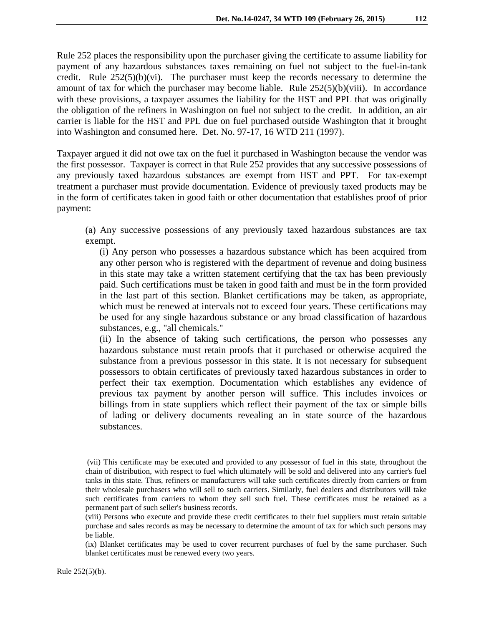Rule 252 places the responsibility upon the purchaser giving the certificate to assume liability for payment of any hazardous substances taxes remaining on fuel not subject to the fuel-in-tank credit. Rule  $252(5)(b)(vi)$ . The purchaser must keep the records necessary to determine the amount of tax for which the purchaser may become liable. Rule 252(5)(b)(viii). In accordance with these provisions, a taxpayer assumes the liability for the HST and PPL that was originally the obligation of the refiners in Washington on fuel not subject to the credit. In addition, an air carrier is liable for the HST and PPL due on fuel purchased outside Washington that it brought into Washington and consumed here. Det. No. 97-17, 16 WTD 211 (1997).

Taxpayer argued it did not owe tax on the fuel it purchased in Washington because the vendor was the first possessor. Taxpayer is correct in that Rule 252 provides that any successive possessions of any previously taxed hazardous substances are exempt from HST and PPT. For tax-exempt treatment a purchaser must provide documentation. Evidence of previously taxed products may be in the form of certificates taken in good faith or other documentation that establishes proof of prior payment:

(a) Any successive possessions of any previously taxed hazardous substances are tax exempt.

(i) Any person who possesses a hazardous substance which has been acquired from any other person who is registered with the department of revenue and doing business in this state may take a written statement certifying that the tax has been previously paid. Such certifications must be taken in good faith and must be in the form provided in the last part of this section. Blanket certifications may be taken, as appropriate, which must be renewed at intervals not to exceed four years. These certifications may be used for any single hazardous substance or any broad classification of hazardous substances, e.g., "all chemicals."

(ii) In the absence of taking such certifications, the person who possesses any hazardous substance must retain proofs that it purchased or otherwise acquired the substance from a previous possessor in this state. It is not necessary for subsequent possessors to obtain certificates of previously taxed hazardous substances in order to perfect their tax exemption. Documentation which establishes any evidence of previous tax payment by another person will suffice. This includes invoices or billings from in state suppliers which reflect their payment of the tax or simple bills of lading or delivery documents revealing an in state source of the hazardous substances.

 $\overline{a}$ 

<sup>(</sup>vii) This certificate may be executed and provided to any possessor of fuel in this state, throughout the chain of distribution, with respect to fuel which ultimately will be sold and delivered into any carrier's fuel tanks in this state. Thus, refiners or manufacturers will take such certificates directly from carriers or from their wholesale purchasers who will sell to such carriers. Similarly, fuel dealers and distributors will take such certificates from carriers to whom they sell such fuel. These certificates must be retained as a permanent part of such seller's business records.

<sup>(</sup>viii) Persons who execute and provide these credit certificates to their fuel suppliers must retain suitable purchase and sales records as may be necessary to determine the amount of tax for which such persons may be liable.

<sup>(</sup>ix) Blanket certificates may be used to cover recurrent purchases of fuel by the same purchaser. Such blanket certificates must be renewed every two years.